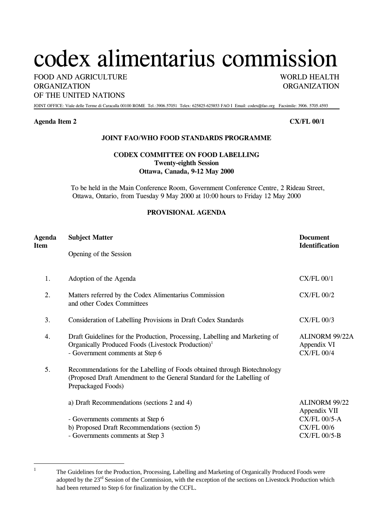# codex alimentarius commission

FOOD AND AGRICULTURE WORLD HEALTH ORGANIZATION ORGANIZATION OF THE UNITED NATIONS

JOINT OFFICE: Viale delle Terme di Caracalla 00100 ROME Tel.:3906.57051 Telex: 625825-625853 FAO I Email: codex@fao.org Facsimile: 3906. 5705.4593

### **Agenda Item 2 CX/FL 00/1**

 $\overline{a}$ 1

## **JOINT FAO/WHO FOOD STANDARDS PROGRAMME**

## **CODEX COMMITTEE ON FOOD LABELLING Twenty-eighth Session Ottawa, Canada, 9-12 May 2000**

To be held in the Main Conference Room, Government Conference Centre, 2 Rideau Street, Ottawa, Ontario, from Tuesday 9 May 2000 at 10:00 hours to Friday 12 May 2000

### **PROVISIONAL AGENDA**

| Agenda<br>Item | <b>Subject Matter</b>                                                                                                                                                            | <b>Document</b><br><b>Identification</b>           |
|----------------|----------------------------------------------------------------------------------------------------------------------------------------------------------------------------------|----------------------------------------------------|
|                | Opening of the Session                                                                                                                                                           |                                                    |
| 1.             | Adoption of the Agenda                                                                                                                                                           | $CX/FL$ 00/1                                       |
| 2.             | Matters referred by the Codex Alimentarius Commission<br>and other Codex Committees                                                                                              | <b>CX/FL 00/2</b>                                  |
| 3.             | Consideration of Labelling Provisions in Draft Codex Standards                                                                                                                   | $CX/FL$ 00/3                                       |
| 4.             | Draft Guidelines for the Production, Processing, Labelling and Marketing of<br>Organically Produced Foods (Livestock Production) <sup>1</sup><br>- Government comments at Step 6 | ALINORM 99/22A<br>Appendix VI<br><b>CX/FL 00/4</b> |
| 5.             | Recommendations for the Labelling of Foods obtained through Biotechnology<br>(Proposed Draft Amendment to the General Standard for the Labelling of<br>Prepackaged Foods)        |                                                    |
|                | a) Draft Recommendations (sections 2 and 4)                                                                                                                                      | <b>ALINORM 99/22</b><br>Appendix VII               |
|                | - Governments comments at Step 6                                                                                                                                                 | <b>CX/FL 00/5-A</b>                                |
|                | b) Proposed Draft Recommendations (section 5)<br>- Governments comments at Step 3                                                                                                | $CX/FL$ 00/6<br>$CX/FL$ 00/5-B                     |
|                |                                                                                                                                                                                  |                                                    |

<span id="page-0-0"></span>The Guidelines for the Production, Processing, Labelling and Marketing of Organically Produced Foods were adopted by the 23<sup>rd</sup> Session of the Commission, with the exception of the sections on Livestock Production which had been returned to Step 6 for finalization by the CCFL.